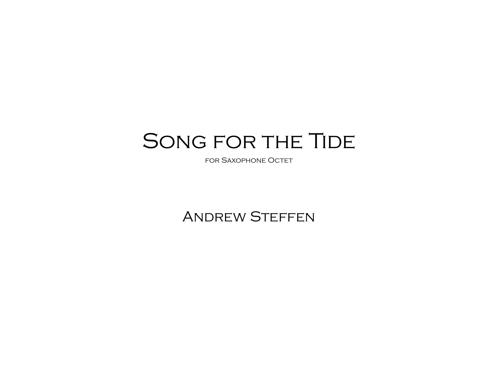## SONG FOR THE TIDE

FOR SAXOPHONE OCTET

Andrew Steffen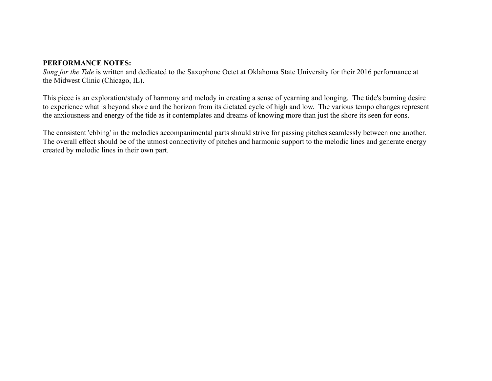## **PERFORMANCE NOTES:**

*Song for the Tide* is written and dedicated to the Saxophone Octet at Oklahoma State University for their 2016 performance at the Midwest Clinic (Chicago, IL).

This piece is an exploration/study of harmony and melody in creating a sense of yearning and longing. The tide's burning desire to experience what is beyond shore and the horizon from its dictated cycle of high and low. The various tempo changes represent the anxiousness and energy of the tide as it contemplates and dreams of knowing more than just the shore its seen for eons.

The consistent 'ebbing' in the melodies accompanimental parts should strive for passing pitches seamlessly between one another. The overall effect should be of the utmost connectivity of pitches and harmonic support to the melodic lines and generate energy created by melodic lines in their own part.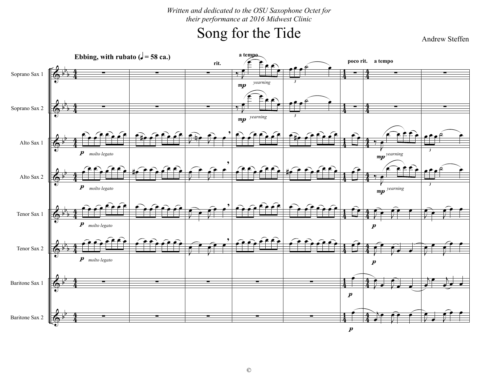*Written and dedicated to the OSU Saxophone Octet for their performance at 2016 Midwest Clinic*

Song for the Tide Andrew Steffen

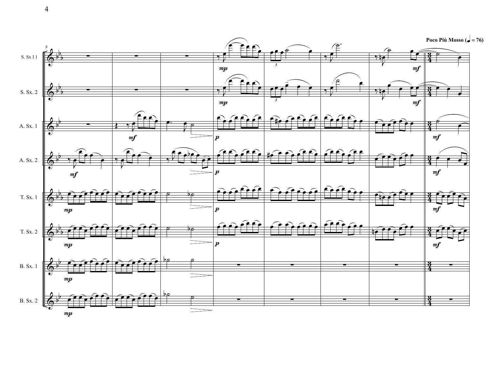

4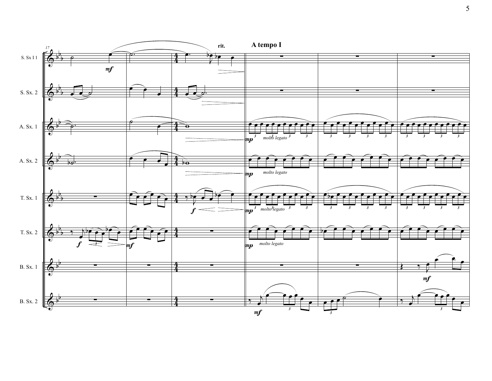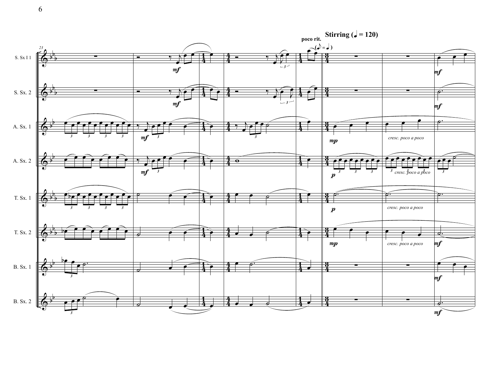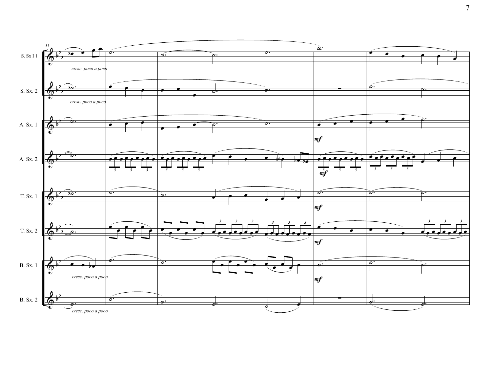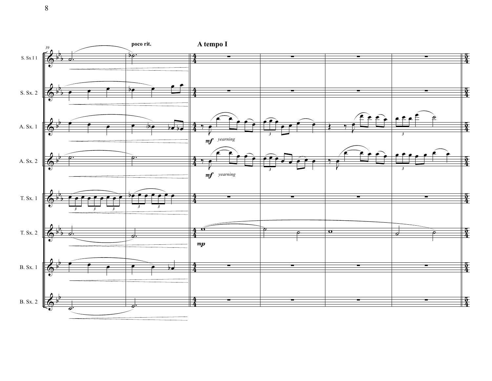

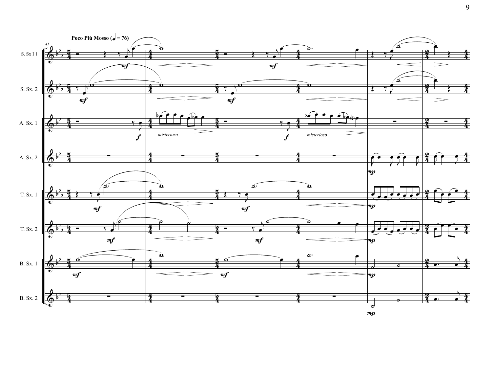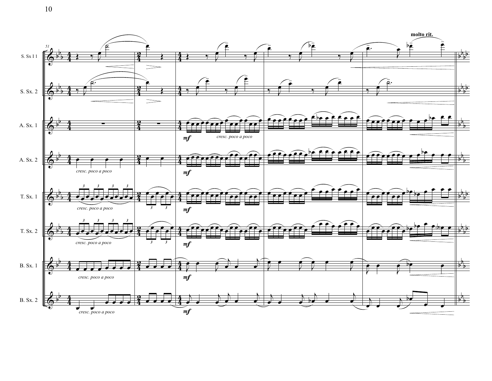

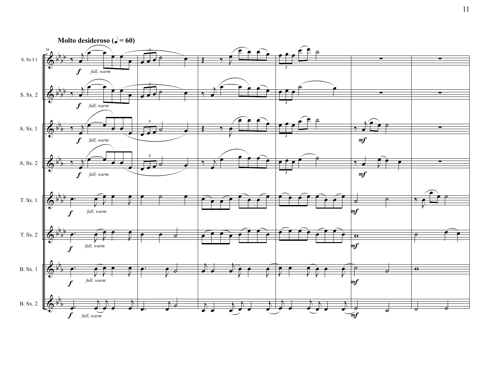